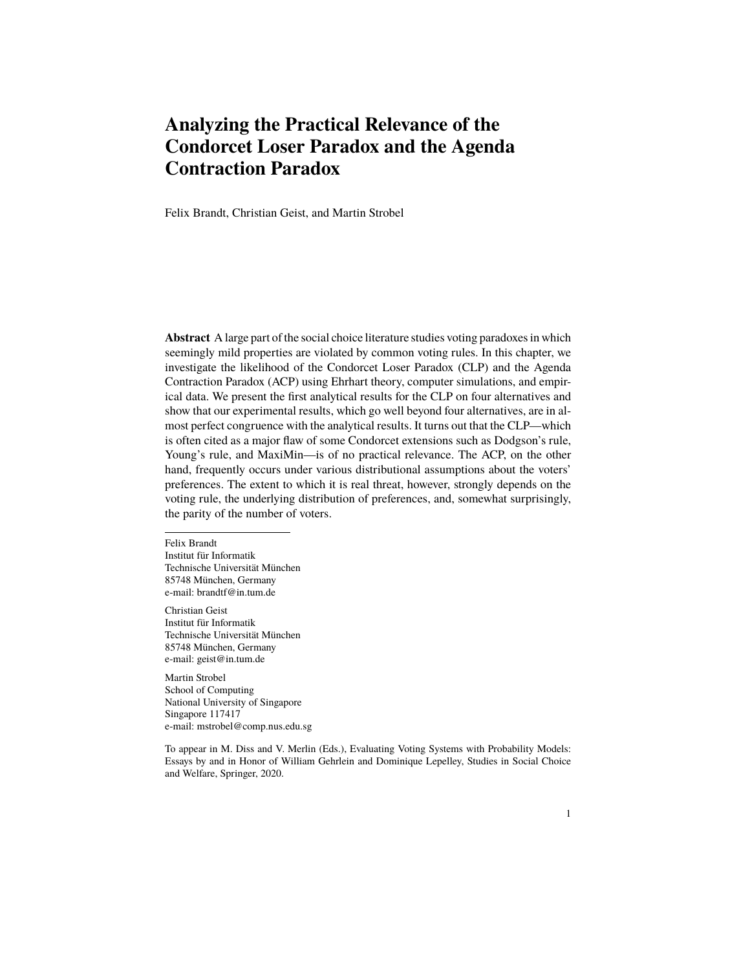# **Analyzing the Practical Relevance of the Condorcet Loser Paradox and the Agenda Contraction Paradox**

Felix Brandt, Christian Geist, and Martin Strobel

**Abstract** A large part of the social choice literature studies voting paradoxes in which seemingly mild properties are violated by common voting rules. In this chapter, we investigate the likelihood of the Condorcet Loser Paradox (CLP) and the Agenda Contraction Paradox (ACP) using Ehrhart theory, computer simulations, and empirical data. We present the first analytical results for the CLP on four alternatives and show that our experimental results, which go well beyond four alternatives, are in almost perfect congruence with the analytical results. It turns out that the CLP—which is often cited as a major flaw of some Condorcet extensions such as Dodgson's rule, Young's rule, and MaxiMin—is of no practical relevance. The ACP, on the other hand, frequently occurs under various distributional assumptions about the voters' preferences. The extent to which it is real threat, however, strongly depends on the voting rule, the underlying distribution of preferences, and, somewhat surprisingly, the parity of the number of voters.

Felix Brandt Institut für Informatik Technische Universität München 85748 München, Germany e-mail: brandtf@in.tum.de

Christian Geist Institut für Informatik Technische Universität München 85748 München, Germany e-mail: geist@in.tum.de

Martin Strobel School of Computing National University of Singapore Singapore 117417 e-mail: mstrobel@comp.nus.edu.sg

To appear in M. Diss and V. Merlin (Eds.), Evaluating Voting Systems with Probability Models: Essays by and in Honor of William Gehrlein and Dominique Lepelley, Studies in Social Choice and Welfare, Springer, 2020.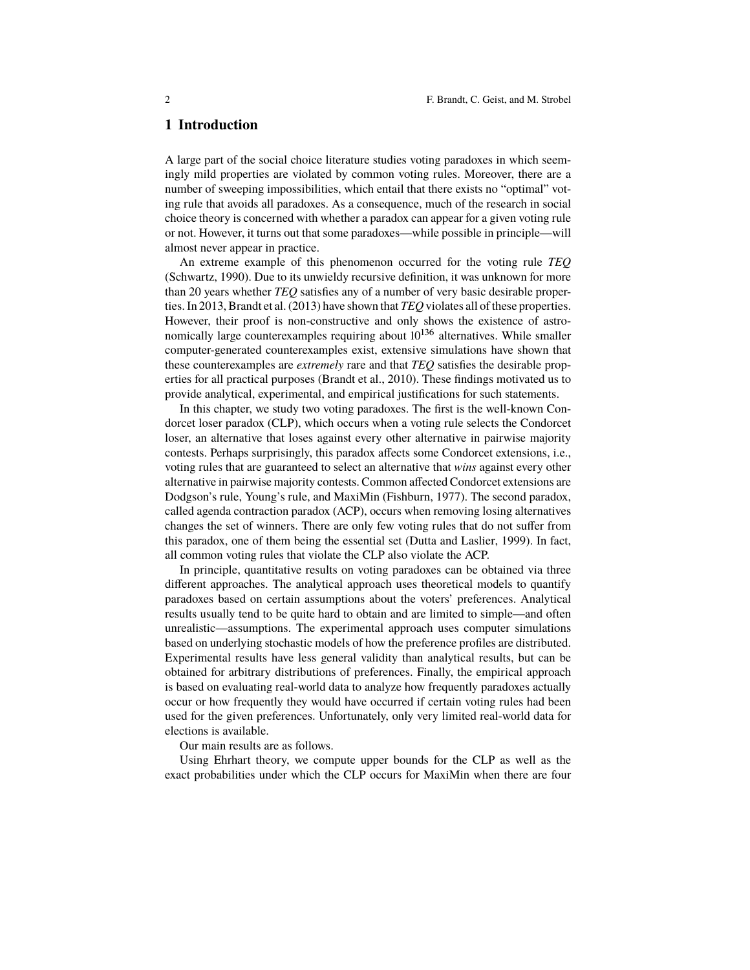# **1 Introduction**

A large part of the social choice literature studies voting paradoxes in which seemingly mild properties are violated by common voting rules. Moreover, there are a number of sweeping impossibilities, which entail that there exists no "optimal" voting rule that avoids all paradoxes. As a consequence, much of the research in social choice theory is concerned with whether a paradox can appear for a given voting rule or not. However, it turns out that some paradoxes—while possible in principle—will almost never appear in practice.

An extreme example of this phenomenon occurred for the voting rule *TEQ* (Schwartz, 1990). Due to its unwieldy recursive definition, it was unknown for more than 20 years whether *TEQ* satisfies any of a number of very basic desirable properties. In 2013, Brandt et al. (2013) have shown that *TEQ* violates all of these properties. However, their proof is non-constructive and only shows the existence of astronomically large counterexamples requiring about  $10^{136}$  alternatives. While smaller computer-generated counterexamples exist, extensive simulations have shown that these counterexamples are *extremely* rare and that *TEQ* satisfies the desirable properties for all practical purposes (Brandt et al., 2010). These findings motivated us to provide analytical, experimental, and empirical justifications for such statements.

In this chapter, we study two voting paradoxes. The first is the well-known Condorcet loser paradox (CLP), which occurs when a voting rule selects the Condorcet loser, an alternative that loses against every other alternative in pairwise majority contests. Perhaps surprisingly, this paradox affects some Condorcet extensions, i.e., voting rules that are guaranteed to select an alternative that *wins* against every other alternative in pairwise majority contests. Common affected Condorcet extensions are Dodgson's rule, Young's rule, and MaxiMin (Fishburn, 1977). The second paradox, called agenda contraction paradox (ACP), occurs when removing losing alternatives changes the set of winners. There are only few voting rules that do not suffer from this paradox, one of them being the essential set (Dutta and Laslier, 1999). In fact, all common voting rules that violate the CLP also violate the ACP.

In principle, quantitative results on voting paradoxes can be obtained via three different approaches. The analytical approach uses theoretical models to quantify paradoxes based on certain assumptions about the voters' preferences. Analytical results usually tend to be quite hard to obtain and are limited to simple—and often unrealistic—assumptions. The experimental approach uses computer simulations based on underlying stochastic models of how the preference profiles are distributed. Experimental results have less general validity than analytical results, but can be obtained for arbitrary distributions of preferences. Finally, the empirical approach is based on evaluating real-world data to analyze how frequently paradoxes actually occur or how frequently they would have occurred if certain voting rules had been used for the given preferences. Unfortunately, only very limited real-world data for elections is available.

Our main results are as follows.

Using Ehrhart theory, we compute upper bounds for the CLP as well as the exact probabilities under which the CLP occurs for MaxiMin when there are four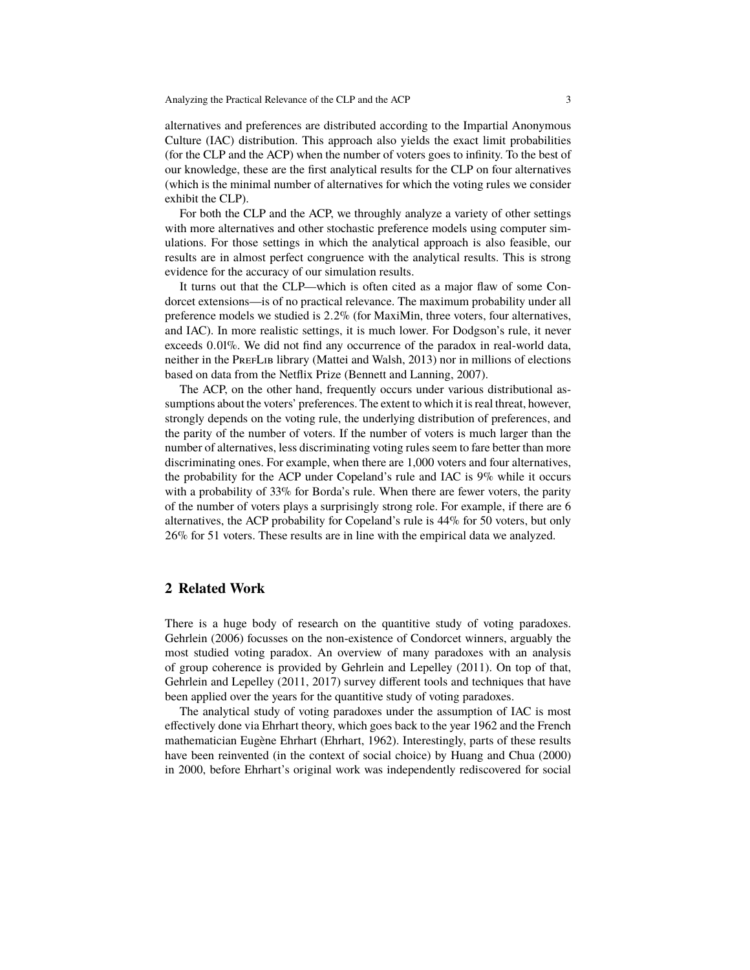alternatives and preferences are distributed according to the Impartial Anonymous Culture (IAC) distribution. This approach also yields the exact limit probabilities (for the CLP and the ACP) when the number of voters goes to infinity. To the best of our knowledge, these are the first analytical results for the CLP on four alternatives (which is the minimal number of alternatives for which the voting rules we consider exhibit the CLP).

For both the CLP and the ACP, we throughly analyze a variety of other settings with more alternatives and other stochastic preference models using computer simulations. For those settings in which the analytical approach is also feasible, our results are in almost perfect congruence with the analytical results. This is strong evidence for the accuracy of our simulation results.

It turns out that the CLP—which is often cited as a major flaw of some Condorcet extensions—is of no practical relevance. The maximum probability under all preference models we studied is 2.2% (for MaxiMin, three voters, four alternatives, and IAC). In more realistic settings, it is much lower. For Dodgson's rule, it never exceeds 0.01%. We did not find any occurrence of the paradox in real-world data, neither in the PREFLIB library (Mattei and Walsh, 2013) nor in millions of elections based on data from the Netflix Prize (Bennett and Lanning, 2007).

The ACP, on the other hand, frequently occurs under various distributional assumptions about the voters' preferences. The extent to which it is real threat, however, strongly depends on the voting rule, the underlying distribution of preferences, and the parity of the number of voters. If the number of voters is much larger than the number of alternatives, less discriminating voting rules seem to fare better than more discriminating ones. For example, when there are 1,000 voters and four alternatives, the probability for the ACP under Copeland's rule and IAC is 9% while it occurs with a probability of 33% for Borda's rule. When there are fewer voters, the parity of the number of voters plays a surprisingly strong role. For example, if there are 6 alternatives, the ACP probability for Copeland's rule is 44% for 50 voters, but only 26% for 51 voters. These results are in line with the empirical data we analyzed.

# **2 Related Work**

There is a huge body of research on the quantitive study of voting paradoxes. Gehrlein (2006) focusses on the non-existence of Condorcet winners, arguably the most studied voting paradox. An overview of many paradoxes with an analysis of group coherence is provided by Gehrlein and Lepelley (2011). On top of that, Gehrlein and Lepelley (2011, 2017) survey different tools and techniques that have been applied over the years for the quantitive study of voting paradoxes.

The analytical study of voting paradoxes under the assumption of IAC is most effectively done via Ehrhart theory, which goes back to the year 1962 and the French mathematician Eugène Ehrhart (Ehrhart, 1962). Interestingly, parts of these results have been reinvented (in the context of social choice) by Huang and Chua (2000) in 2000, before Ehrhart's original work was independently rediscovered for social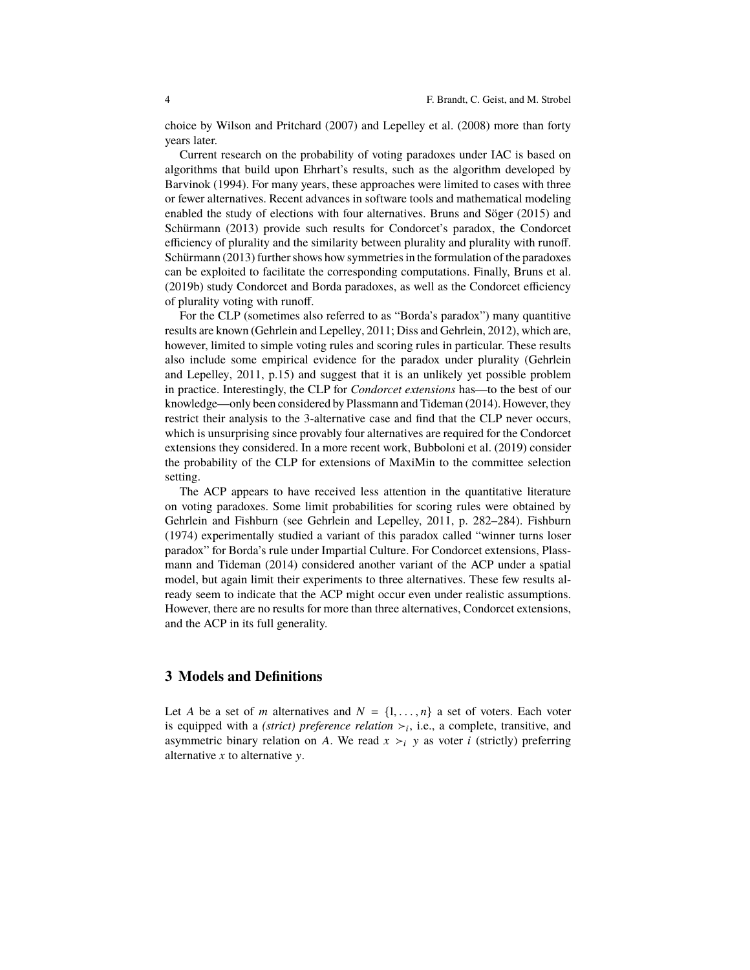choice by Wilson and Pritchard (2007) and Lepelley et al. (2008) more than forty years later.

Current research on the probability of voting paradoxes under IAC is based on algorithms that build upon Ehrhart's results, such as the algorithm developed by Barvinok (1994). For many years, these approaches were limited to cases with three or fewer alternatives. Recent advances in software tools and mathematical modeling enabled the study of elections with four alternatives. Bruns and Söger (2015) and Schürmann (2013) provide such results for Condorcet's paradox, the Condorcet efficiency of plurality and the similarity between plurality and plurality with runoff. Schürmann (2013) further shows how symmetries in the formulation of the paradoxes can be exploited to facilitate the corresponding computations. Finally, Bruns et al. (2019b) study Condorcet and Borda paradoxes, as well as the Condorcet efficiency of plurality voting with runoff.

For the CLP (sometimes also referred to as "Borda's paradox") many quantitive results are known (Gehrlein and Lepelley, 2011; Diss and Gehrlein, 2012), which are, however, limited to simple voting rules and scoring rules in particular. These results also include some empirical evidence for the paradox under plurality (Gehrlein and Lepelley, 2011, p.15) and suggest that it is an unlikely yet possible problem in practice. Interestingly, the CLP for *Condorcet extensions* has—to the best of our knowledge—only been considered by Plassmann and Tideman (2014). However, they restrict their analysis to the 3-alternative case and find that the CLP never occurs, which is unsurprising since provably four alternatives are required for the Condorcet extensions they considered. In a more recent work, Bubboloni et al. (2019) consider the probability of the CLP for extensions of MaxiMin to the committee selection setting.

The ACP appears to have received less attention in the quantitative literature on voting paradoxes. Some limit probabilities for scoring rules were obtained by Gehrlein and Fishburn (see Gehrlein and Lepelley, 2011, p. 282–284). Fishburn (1974) experimentally studied a variant of this paradox called "winner turns loser paradox" for Borda's rule under Impartial Culture. For Condorcet extensions, Plassmann and Tideman (2014) considered another variant of the ACP under a spatial model, but again limit their experiments to three alternatives. These few results already seem to indicate that the ACP might occur even under realistic assumptions. However, there are no results for more than three alternatives, Condorcet extensions, and the ACP in its full generality.

# **3 Models and Definitions**

Let A be a set of m alternatives and  $N = \{1, \ldots, n\}$  a set of voters. Each voter is equipped with a *(strict) preference relation*  $>_i$ , i.e., a complete, transitive, and asymmetric binary relation on A. We read  $x \succ_i y$  as voter *i* (strictly) preferring alternative  $x$  to alternative  $y$ .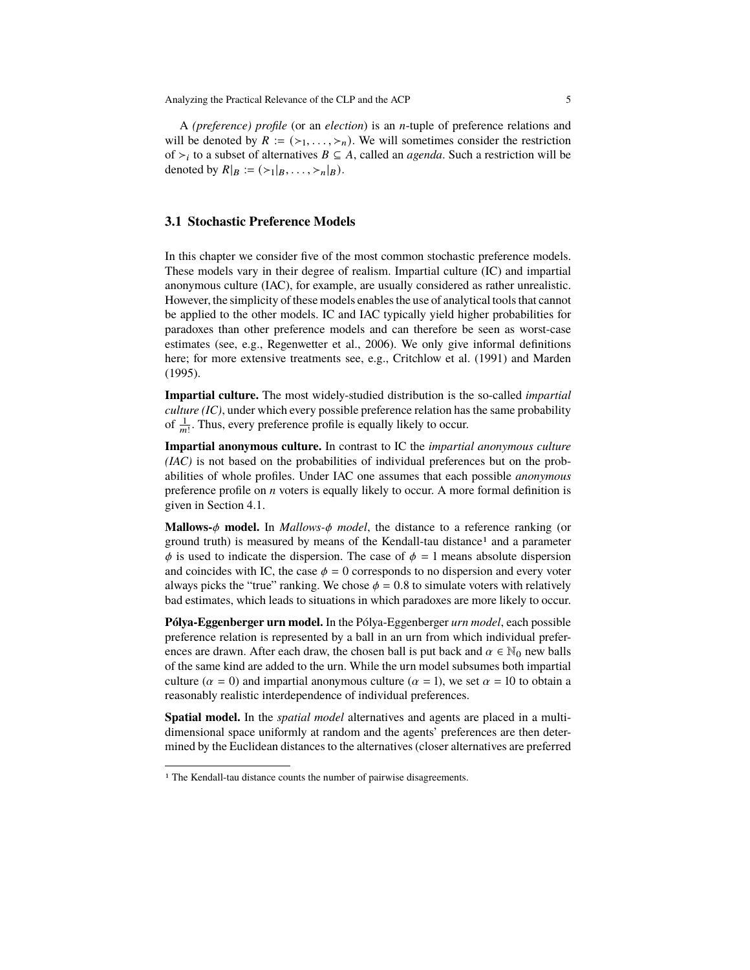Analyzing the Practical Relevance of the CLP and the ACP 5

A *(preference) profile* (or an *election*) is an *n*-tuple of preference relations and will be denoted by  $R := (\succ_1, \ldots, \succ_n)$ . We will sometimes consider the restriction of  $\geq_i$  to a subset of alternatives  $B \subseteq A$ , called an *agenda*. Such a restriction will be denoted by  $R|_B := (\succ_1 |_B, \ldots, \succ_n |_B)$ .

### **3.1 Stochastic Preference Models**

In this chapter we consider five of the most common stochastic preference models. These models vary in their degree of realism. Impartial culture (IC) and impartial anonymous culture (IAC), for example, are usually considered as rather unrealistic. However, the simplicity of these models enables the use of analytical tools that cannot be applied to the other models. IC and IAC typically yield higher probabilities for paradoxes than other preference models and can therefore be seen as worst-case estimates (see, e.g., Regenwetter et al., 2006). We only give informal definitions here; for more extensive treatments see, e.g., Critchlow et al. (1991) and Marden (1995).

**Impartial culture.** The most widely-studied distribution is the so-called *impartial culture (IC)*, under which every possible preference relation has the same probability of  $\frac{1}{m!}$ . Thus, every preference profile is equally likely to occur.

**Impartial anonymous culture.** In contrast to IC the *impartial anonymous culture (IAC)* is not based on the probabilities of individual preferences but on the probabilities of whole profiles. Under IAC one assumes that each possible *anonymous* preference profile on  $n$  voters is equally likely to occur. A more formal definition is given in Section 4.1.

**Mallows-** $\phi$  **model.** In *Mallows-* $\phi$  *model*, the distance to a reference ranking (or ground truth) is measured by means of the Kendall-tau distance<sup>1</sup> and a parameter  $\phi$  is used to indicate the dispersion. The case of  $\phi = 1$  means absolute dispersion and coincides with IC, the case  $\phi = 0$  corresponds to no dispersion and every voter always picks the "true" ranking. We chose  $\phi = 0.8$  to simulate voters with relatively bad estimates, which leads to situations in which paradoxes are more likely to occur.

**Pólya-Eggenberger urn model.** In the Pólya-Eggenberger *urn model*, each possible preference relation is represented by a ball in an urn from which individual preferences are drawn. After each draw, the chosen ball is put back and  $\alpha \in \mathbb{N}_0$  new balls of the same kind are added to the urn. While the urn model subsumes both impartial culture ( $\alpha = 0$ ) and impartial anonymous culture ( $\alpha = 1$ ), we set  $\alpha = 10$  to obtain a reasonably realistic interdependence of individual preferences.

**Spatial model.** In the *spatial model* alternatives and agents are placed in a multidimensional space uniformly at random and the agents' preferences are then determined by the Euclidean distances to the alternatives (closer alternatives are preferred

<sup>1</sup> The Kendall-tau distance counts the number of pairwise disagreements.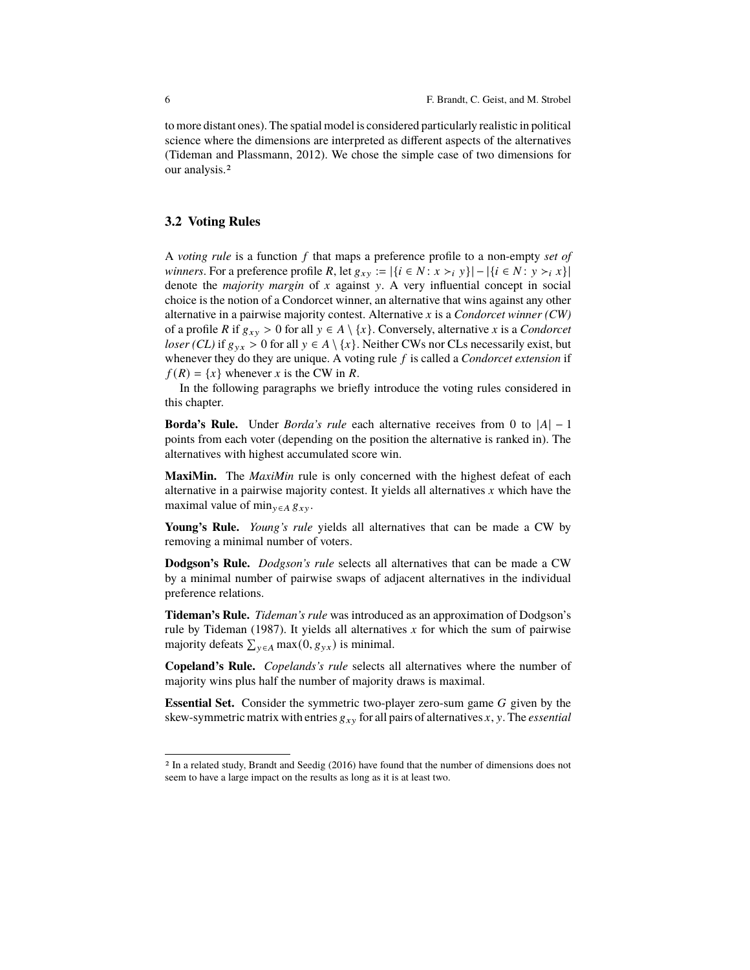to more distant ones). The spatial model is considered particularly realistic in political science where the dimensions are interpreted as different aspects of the alternatives (Tideman and Plassmann, 2012). We chose the simple case of two dimensions for our analysis.2

### **3.2 Voting Rules**

A *voting rule* is a function f that maps a preference profile to a non-empty set of *winners*. For a preference profile R, let  $g_{xy} := |\{i \in N : x >_i y\}| - |\{i \in N : y >_i x\}|$ denote the *majority margin* of x against y. A very influential concept in social choice is the notion of a Condorcet winner, an alternative that wins against any other alternative in a pairwise majority contest. Alternative  $x$  is a *Condorcet winner (CW)* of a profile *R* if  $g_{xy} > 0$  for all  $y \in A \setminus \{x\}$ . Conversely, alternative *x* is a *Condorcet loser (CL)* if  $g_{vx} > 0$  for all  $y \in A \setminus \{x\}$ . Neither CWs nor CLs necessarily exist, but whenever they do they are unique. A voting rule  $f$  is called a *Condorcet extension* if  $f(R) = \{x\}$  whenever x is the CW in R.

In the following paragraphs we briefly introduce the voting rules considered in this chapter.

**Borda's Rule.** Under *Borda's rule* each alternative receives from 0 to  $|A| - 1$ points from each voter (depending on the position the alternative is ranked in). The alternatives with highest accumulated score win.

**MaxiMin.** The *MaxiMin* rule is only concerned with the highest defeat of each alternative in a pairwise majority contest. It yields all alternatives  $x$  which have the maximal value of min<sub> $v \in A$ </sub>  $g_{xy}$ .

**Young's Rule.** *Young's rule* yields all alternatives that can be made a CW by removing a minimal number of voters.

**Dodgson's Rule.** *Dodgson's rule* selects all alternatives that can be made a CW by a minimal number of pairwise swaps of adjacent alternatives in the individual preference relations.

**Tideman's Rule.** *Tideman's rule* was introduced as an approximation of Dodgson's rule by Tideman (1987). It yields all alternatives  $x$  for which the sum of pairwise majority defeats  $\sum_{y \in A} \max(0, g_{yx})$  is minimal.

**Copeland's Rule.** *Copelands's rule* selects all alternatives where the number of majority wins plus half the number of majority draws is maximal.

**Essential Set.** Consider the symmetric two-player zero-sum game G given by the skew-symmetric matrix with entries  $g_{xy}$  for all pairs of alternatives  $x$ ,  $y$ . The *essential* 

<sup>2</sup> In a related study, Brandt and Seedig (2016) have found that the number of dimensions does not seem to have a large impact on the results as long as it is at least two.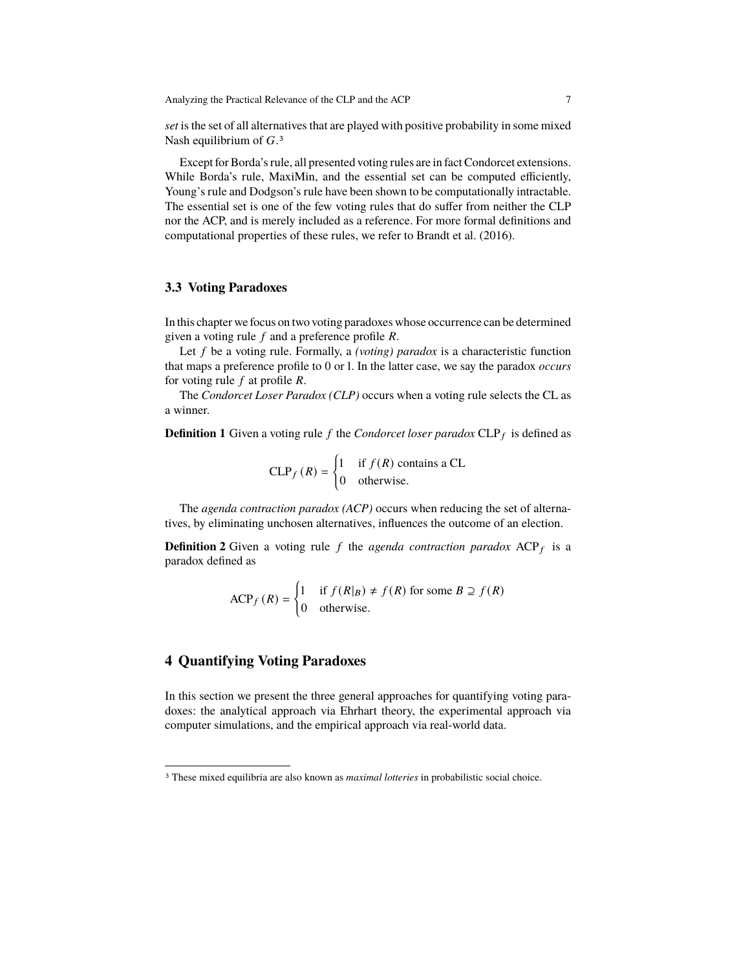Analyzing the Practical Relevance of the CLP and the ACP 7

*set* is the set of all alternatives that are played with positive probability in some mixed Nash equilibrium of  $G<sup>3</sup>$ .

Except for Borda's rule, all presented voting rules are in fact Condorcet extensions. While Borda's rule, MaxiMin, and the essential set can be computed efficiently, Young's rule and Dodgson's rule have been shown to be computationally intractable. The essential set is one of the few voting rules that do suffer from neither the CLP nor the ACP, and is merely included as a reference. For more formal definitions and computational properties of these rules, we refer to Brandt et al. (2016).

### **3.3 Voting Paradoxes**

In this chapter we focus on two voting paradoxes whose occurrence can be determined given a voting rule  $f$  and a preference profile  $R$ .

Let  $f$  be a voting rule. Formally, a *(voting) paradox* is a characteristic function that maps a preference profile to 0 or 1. In the latter case, we say the paradox *occurs* for voting rule  $f$  at profile  $R$ .

The *Condorcet Loser Paradox (CLP)* occurs when a voting rule selects the CL as a winner.

**Definition 1** Given a voting rule  $f$  the *Condorcet loser paradox*  $CLP_f$  is defined as

$$
\text{CLP}_f(R) = \begin{cases} 1 & \text{if } f(R) \text{ contains a CL} \\ 0 & \text{otherwise.} \end{cases}
$$

The *agenda contraction paradox (ACP)* occurs when reducing the set of alternatives, by eliminating unchosen alternatives, influences the outcome of an election.

**Definition 2** Given a voting rule  $f$  the *agenda contraction paradox*  ${ACP_f}$  is a paradox defined as

$$
ACP_f(R) = \begin{cases} 1 & \text{if } f(R|_B) \neq f(R) \text{ for some } B \supseteq f(R) \\ 0 & \text{otherwise.} \end{cases}
$$

# **4 Quantifying Voting Paradoxes**

In this section we present the three general approaches for quantifying voting paradoxes: the analytical approach via Ehrhart theory, the experimental approach via computer simulations, and the empirical approach via real-world data.

<sup>3</sup> These mixed equilibria are also known as *maximal lotteries* in probabilistic social choice.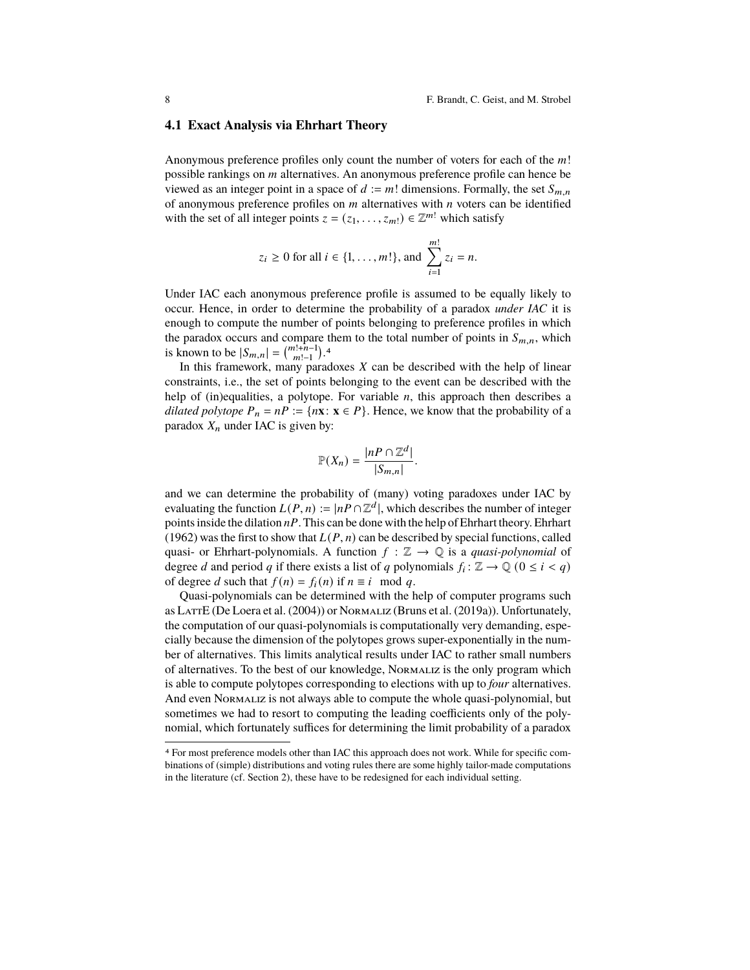#### **4.1 Exact Analysis via Ehrhart Theory**

Anonymous preference profiles only count the number of voters for each of the  $m!$ possible rankings on  *alternatives. An anonymous preference profile can hence be* viewed as an integer point in a space of  $d := m!$  dimensions. Formally, the set  $S_{m,n}$ of anonymous preference profiles on  $m$  alternatives with  $n$  voters can be identified with the set of all integer points  $z = (z_1, \dots, z_{m!}) \in \mathbb{Z}^{m!}$  which satisfy

$$
z_i \ge 0
$$
 for all  $i \in \{1, ..., m!\}$ , and  $\sum_{i=1}^{m!} z_i = n$ .

Under IAC each anonymous preference profile is assumed to be equally likely to occur. Hence, in order to determine the probability of a paradox *under IAC* it is enough to compute the number of points belonging to preference profiles in which the paradox occurs and compare them to the total number of points in  $S_{m,n}$ , which is known to be  $|S_{m,n}| = \binom{m!+n-1}{m!-1}$ .<sup>4</sup>

In this framework, many paradoxes  $X$  can be described with the help of linear constraints, i.e., the set of points belonging to the event can be described with the help of (in)equalities, a polytope. For variable  $n$ , this approach then describes a *dilated polytope*  $P_n = nP := \{nx : x \in P\}$ . Hence, we know that the probability of a paradox  $X_n$  under IAC is given by:

$$
\mathbb{P}(X_n) = \frac{|nP \cap \mathbb{Z}^d|}{|S_{m,n}|}.
$$

and we can determine the probability of (many) voting paradoxes under IAC by evaluating the function  $L(P, n) := |nP \cap \mathbb{Z}^d|$ , which describes the number of integer points inside the dilation  $nP$ . This can be done with the help of Ehrhart theory. Ehrhart (1962) was the first to show that  $L(P, n)$  can be described by special functions, called quasi- or Ehrhart-polynomials. A function  $f : \mathbb{Z} \to \mathbb{Q}$  is a *quasi-polynomial* of degree d and period q if there exists a list of q polynomials  $f_i : \mathbb{Z} \to \mathbb{Q}$   $(0 \le i < q)$ of degree d such that  $f(n) = f_i(n)$  if  $n \equiv i \mod q$ .

Quasi-polynomials can be determined with the help of computer programs such as LattE (De Loera et al. (2004)) or Normaliz (Bruns et al. (2019a)). Unfortunately, the computation of our quasi-polynomials is computationally very demanding, especially because the dimension of the polytopes grows super-exponentially in the number of alternatives. This limits analytical results under IAC to rather small numbers of alternatives. To the best of our knowledge, Normaliz is the only program which is able to compute polytopes corresponding to elections with up to *four* alternatives. And even Normaliz is not always able to compute the whole quasi-polynomial, but sometimes we had to resort to computing the leading coefficients only of the polynomial, which fortunately suffices for determining the limit probability of a paradox

<sup>4</sup> For most preference models other than IAC this approach does not work. While for specific combinations of (simple) distributions and voting rules there are some highly tailor-made computations in the literature (cf. Section 2), these have to be redesigned for each individual setting.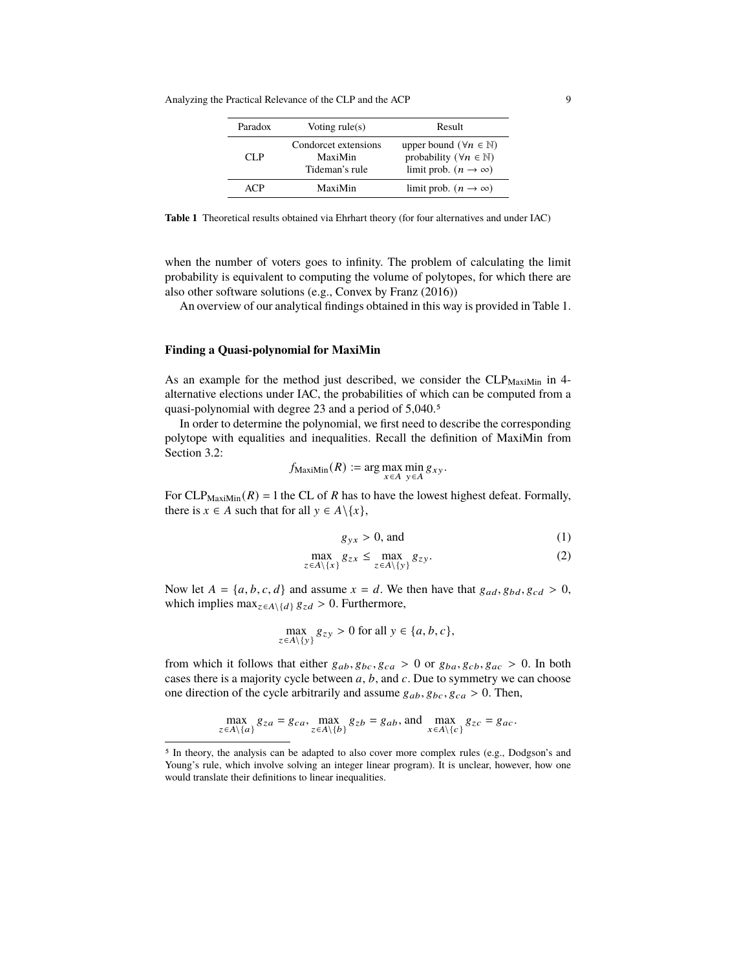Analyzing the Practical Relevance of the CLP and the ACP 9

| Paradox | Voting $rule(s)$                                  | Result                                                                                                                           |  |  |
|---------|---------------------------------------------------|----------------------------------------------------------------------------------------------------------------------------------|--|--|
| CL P    | Condorcet extensions<br>MaxiMin<br>Tideman's rule | upper bound ( $\forall n \in \mathbb{N}$ )<br>probability ( $\forall n \in \mathbb{N}$ )<br>limit prob. $(n \rightarrow \infty)$ |  |  |
| ACP     | MaxiMin                                           | limit prob. $(n \rightarrow \infty)$                                                                                             |  |  |

**Table 1** Theoretical results obtained via Ehrhart theory (for four alternatives and under IAC)

when the number of voters goes to infinity. The problem of calculating the limit probability is equivalent to computing the volume of polytopes, for which there are also other software solutions (e.g., Convex by Franz (2016))

An overview of our analytical findings obtained in this way is provided in Table 1.

### **Finding a Quasi-polynomial for MaxiMin**

As an example for the method just described, we consider the CLP<sub>MaxiMin</sub> in 4alternative elections under IAC, the probabilities of which can be computed from a quasi-polynomial with degree 23 and a period of 5,040.5

In order to determine the polynomial, we first need to describe the corresponding polytope with equalities and inequalities. Recall the definition of MaxiMin from Section 3.2:

$$
f_{\text{MaxiMin}}(R) := \arg\max_{x \in A} \min_{y \in A} g_{xy}.
$$

For CLP<sub>MaxiMin</sub>  $(R) = 1$  the CL of R has to have the lowest highest defeat. Formally, there is  $x \in A$  such that for all  $y \in A \setminus \{x\}$ ,

$$
g_{yx} > 0, \text{ and } \tag{1}
$$

$$
\max_{z \in A \setminus \{x\}} g_{zx} \le \max_{z \in A \setminus \{y\}} g_{zy}.\tag{2}
$$

Now let  $A = \{a, b, c, d\}$  and assume  $x = d$ . We then have that  $g_{ad}, g_{bd}, g_{cd} > 0$ , which implies  $\max_{z \in A \setminus \{d\}} g_{z,d} > 0$ . Furthermore,

$$
\max_{z \in A \setminus \{y\}} g_{zy} > 0 \text{ for all } y \in \{a, b, c\},
$$

from which it follows that either  $g_{ab}, g_{bc}, g_{ca} > 0$  or  $g_{ba}, g_{cb}, g_{ac} > 0$ . In both cases there is a majority cycle between  $a$ ,  $b$ , and  $c$ . Due to symmetry we can choose one direction of the cycle arbitrarily and assume  $g_{ab}$ ,  $g_{bc}$ ,  $g_{ca} > 0$ . Then,

$$
\max_{z \in A \setminus \{a\}} g_{za} = g_{ca}, \max_{z \in A \setminus \{b\}} g_{zb} = g_{ab}, \text{and } \max_{x \in A \setminus \{c\}} g_{zc} = g_{ac}.
$$

<sup>5</sup> In theory, the analysis can be adapted to also cover more complex rules (e.g., Dodgson's and Young's rule, which involve solving an integer linear program). It is unclear, however, how one would translate their definitions to linear inequalities.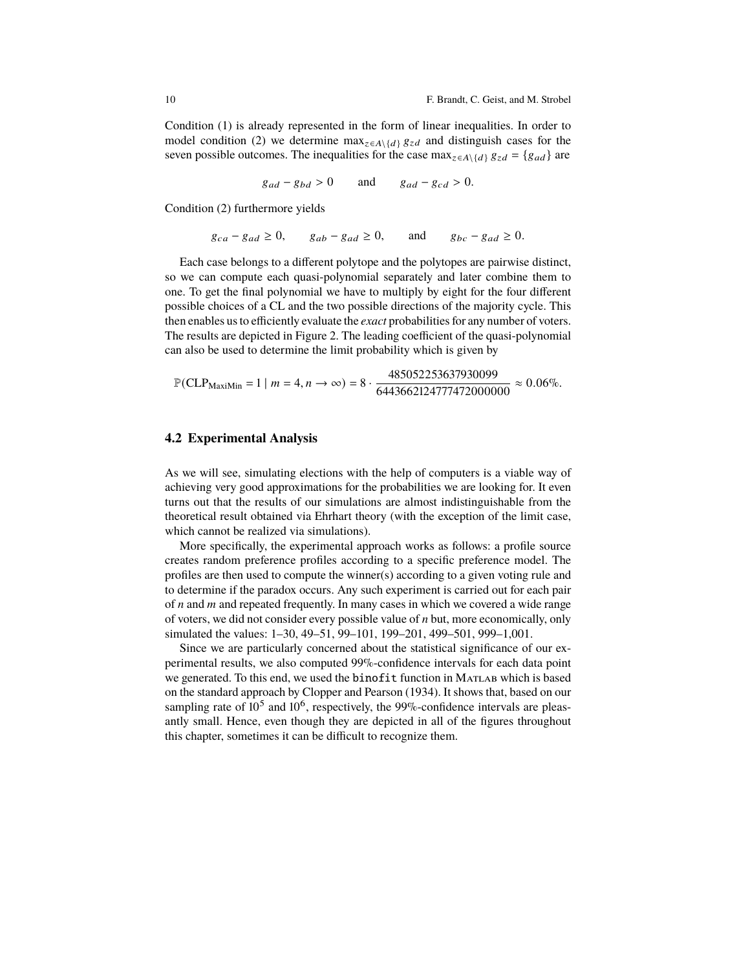Condition (1) is already represented in the form of linear inequalities. In order to model condition (2) we determine  $\max_{z \in A \setminus \{d\}} g_{z,d}$  and distinguish cases for the seven possible outcomes. The inequalities for the case  $\max_{z \in A \setminus \{d\}} g_{z,d} = \{g_{ad}\}\$ are

$$
g_{ad} - g_{bd} > 0 \qquad \text{and} \qquad g_{ad} - g_{cd} > 0.
$$

Condition (2) furthermore yields

 $g_{ca} - g_{ad} \geq 0$ ,  $g_{ab} - g_{ad} \geq 0$ , and  $g_{bc} - g_{ad} \geq 0$ .

Each case belongs to a different polytope and the polytopes are pairwise distinct, so we can compute each quasi-polynomial separately and later combine them to one. To get the final polynomial we have to multiply by eight for the four different possible choices of a CL and the two possible directions of the majority cycle. This then enables us to efficiently evaluate the *exact* probabilities for any number of voters. The results are depicted in Figure 2. The leading coefficient of the quasi-polynomial can also be used to determine the limit probability which is given by

$$
\mathbb{P}(\text{CLP}_{\text{MaxiMin}} = 1 \mid m = 4, n \to \infty) = 8 \cdot \frac{485052253637930099}{6443662124777472000000} \approx 0.06\%.
$$

### **4.2 Experimental Analysis**

As we will see, simulating elections with the help of computers is a viable way of achieving very good approximations for the probabilities we are looking for. It even turns out that the results of our simulations are almost indistinguishable from the theoretical result obtained via Ehrhart theory (with the exception of the limit case, which cannot be realized via simulations).

More specifically, the experimental approach works as follows: a profile source creates random preference profiles according to a specific preference model. The profiles are then used to compute the winner(s) according to a given voting rule and to determine if the paradox occurs. Any such experiment is carried out for each pair of  $n$  and  $m$  and repeated frequently. In many cases in which we covered a wide range of voters, we did not consider every possible value of  $n$  but, more economically, only simulated the values: 1–30, 49–51, 99–101, 199–201, 499–501, 999–1,001.

Since we are particularly concerned about the statistical significance of our experimental results, we also computed 99%-confidence intervals for each data point we generated. To this end, we used the binofit function in Matlab which is based on the standard approach by Clopper and Pearson (1934). It shows that, based on our sampling rate of  $10^5$  and  $10^6$ , respectively, the 99%-confidence intervals are pleasantly small. Hence, even though they are depicted in all of the figures throughout this chapter, sometimes it can be difficult to recognize them.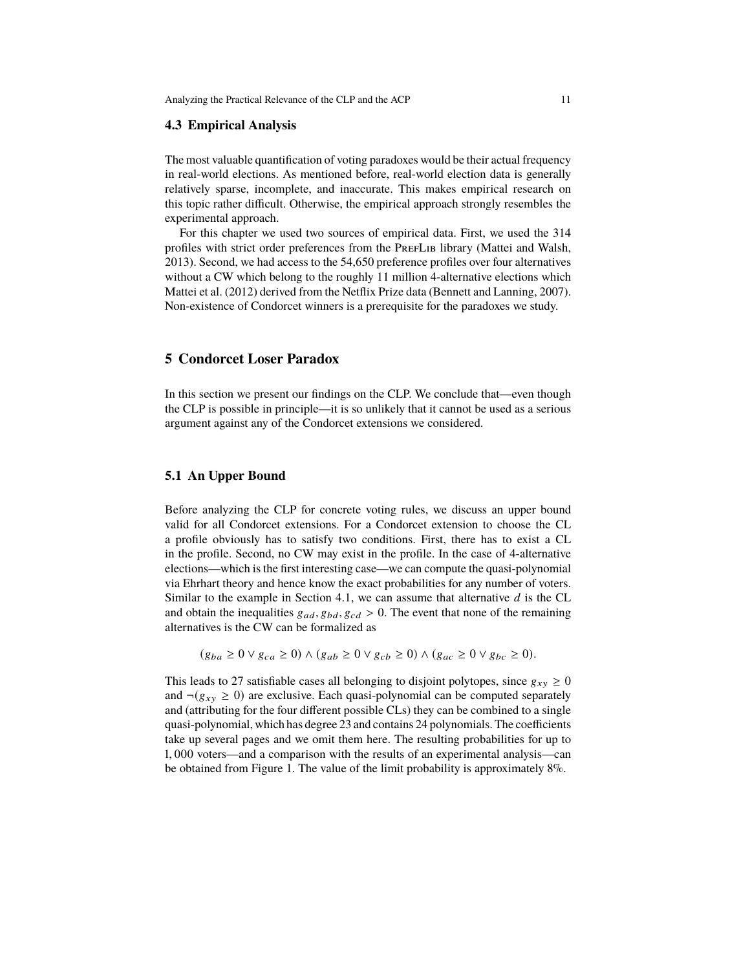#### **4.3 Empirical Analysis**

The most valuable quantification of voting paradoxes would be their actual frequency in real-world elections. As mentioned before, real-world election data is generally relatively sparse, incomplete, and inaccurate. This makes empirical research on this topic rather difficult. Otherwise, the empirical approach strongly resembles the experimental approach.

For this chapter we used two sources of empirical data. First, we used the 314 profiles with strict order preferences from the PREFLIB library (Mattei and Walsh, 2013). Second, we had access to the 54,650 preference profiles over four alternatives without a CW which belong to the roughly 11 million 4-alternative elections which Mattei et al. (2012) derived from the Netflix Prize data (Bennett and Lanning, 2007). Non-existence of Condorcet winners is a prerequisite for the paradoxes we study.

### **5 Condorcet Loser Paradox**

In this section we present our findings on the CLP. We conclude that—even though the CLP is possible in principle—it is so unlikely that it cannot be used as a serious argument against any of the Condorcet extensions we considered.

### **5.1 An Upper Bound**

Before analyzing the CLP for concrete voting rules, we discuss an upper bound valid for all Condorcet extensions. For a Condorcet extension to choose the CL a profile obviously has to satisfy two conditions. First, there has to exist a CL in the profile. Second, no CW may exist in the profile. In the case of 4-alternative elections—which is the first interesting case—we can compute the quasi-polynomial via Ehrhart theory and hence know the exact probabilities for any number of voters. Similar to the example in Section 4.1, we can assume that alternative  $d$  is the CL and obtain the inequalities  $g_{ad}$ ,  $g_{bd}$ ,  $g_{cd}$  > 0. The event that none of the remaining alternatives is the CW can be formalized as

$$
(g_{ba} \ge 0 \lor g_{ca} \ge 0) \land (g_{ab} \ge 0 \lor g_{cb} \ge 0) \land (g_{ac} \ge 0 \lor g_{bc} \ge 0).
$$

This leads to 27 satisfiable cases all belonging to disjoint polytopes, since  $g_{xy} \ge 0$ and  $\neg(g_{xy} \geq 0)$  are exclusive. Each quasi-polynomial can be computed separately and (attributing for the four different possible CLs) they can be combined to a single quasi-polynomial, which has degree 23 and contains 24 polynomials. The coefficients take up several pages and we omit them here. The resulting probabilities for up to 1, 000 voters—and a comparison with the results of an experimental analysis—can be obtained from Figure 1. The value of the limit probability is approximately 8%.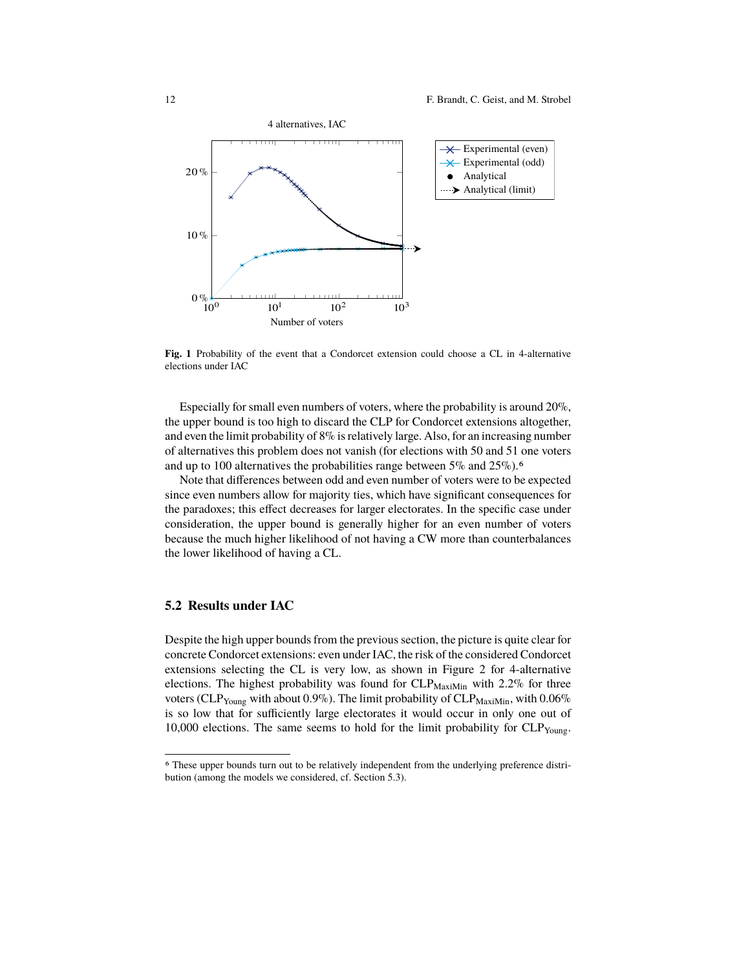

**Fig. 1** Probability of the event that a Condorcet extension could choose a CL in 4-alternative elections under IAC

Especially for small even numbers of voters, where the probability is around 20%, the upper bound is too high to discard the CLP for Condorcet extensions altogether, and even the limit probability of 8% is relatively large. Also, for an increasing number of alternatives this problem does not vanish (for elections with 50 and 51 one voters and up to 100 alternatives the probabilities range between 5% and 25%).6

Note that differences between odd and even number of voters were to be expected since even numbers allow for majority ties, which have significant consequences for the paradoxes; this effect decreases for larger electorates. In the specific case under consideration, the upper bound is generally higher for an even number of voters because the much higher likelihood of not having a CW more than counterbalances the lower likelihood of having a CL.

# **5.2 Results under IAC**

Despite the high upper bounds from the previous section, the picture is quite clear for concrete Condorcet extensions: even under IAC, the risk of the considered Condorcet extensions selecting the CL is very low, as shown in Figure 2 for 4-alternative elections. The highest probability was found for  $CLP_{MaxiMin}$  with 2.2% for three voters (CLP<sub>Young</sub> with about 0.9%). The limit probability of  $CLP_{MaxiMin}$ , with 0.06% is so low that for sufficiently large electorates it would occur in only one out of 10,000 elections. The same seems to hold for the limit probability for  $CLP_{Young}$ .

<sup>6</sup> These upper bounds turn out to be relatively independent from the underlying preference distribution (among the models we considered, cf. Section 5.3).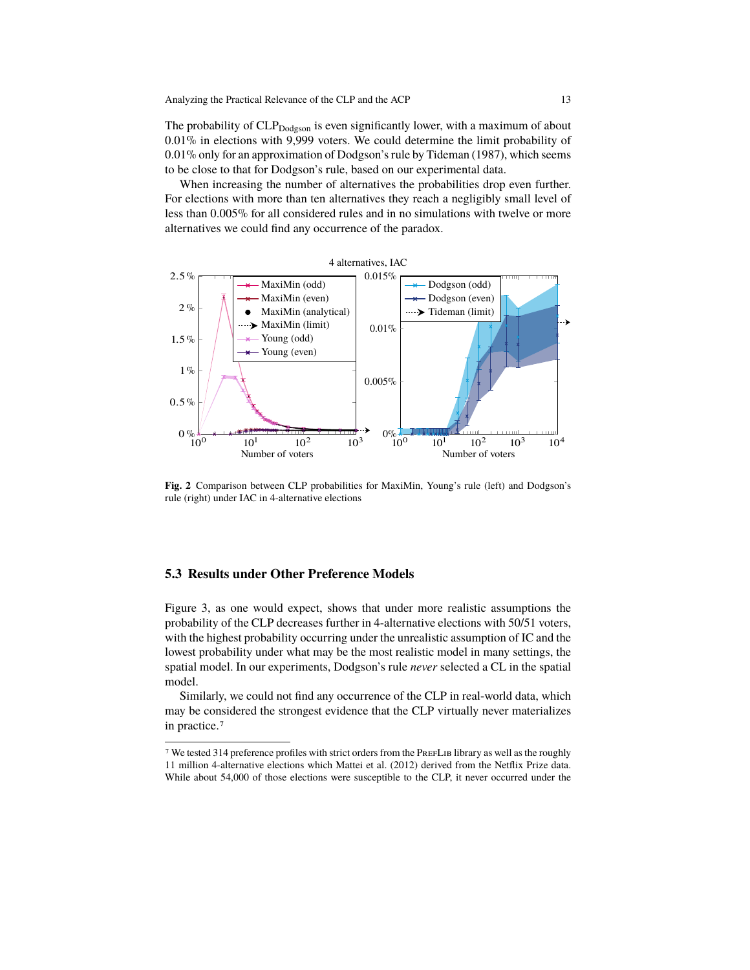The probability of CLP<sub>Dodgson</sub> is even significantly lower, with a maximum of about 0.01% in elections with 9,999 voters. We could determine the limit probability of 0.01% only for an approximation of Dodgson's rule by Tideman (1987), which seems to be close to that for Dodgson's rule, based on our experimental data.

When increasing the number of alternatives the probabilities drop even further. For elections with more than ten alternatives they reach a negligibly small level of less than 0.005% for all considered rules and in no simulations with twelve or more alternatives we could find any occurrence of the paradox.



**Fig. 2** Comparison between CLP probabilities for MaxiMin, Young's rule (left) and Dodgson's rule (right) under IAC in 4-alternative elections

# **5.3 Results under Other Preference Models**

Figure 3, as one would expect, shows that under more realistic assumptions the probability of the CLP decreases further in 4-alternative elections with 50/51 voters, with the highest probability occurring under the unrealistic assumption of IC and the lowest probability under what may be the most realistic model in many settings, the spatial model. In our experiments, Dodgson's rule *never* selected a CL in the spatial model.

Similarly, we could not find any occurrence of the CLP in real-world data, which may be considered the strongest evidence that the CLP virtually never materializes in practice.7

<sup>&</sup>lt;sup>7</sup> We tested 314 preference profiles with strict orders from the PREFLIB library as well as the roughly 11 million 4-alternative elections which Mattei et al. (2012) derived from the Netflix Prize data. While about 54,000 of those elections were susceptible to the CLP, it never occurred under the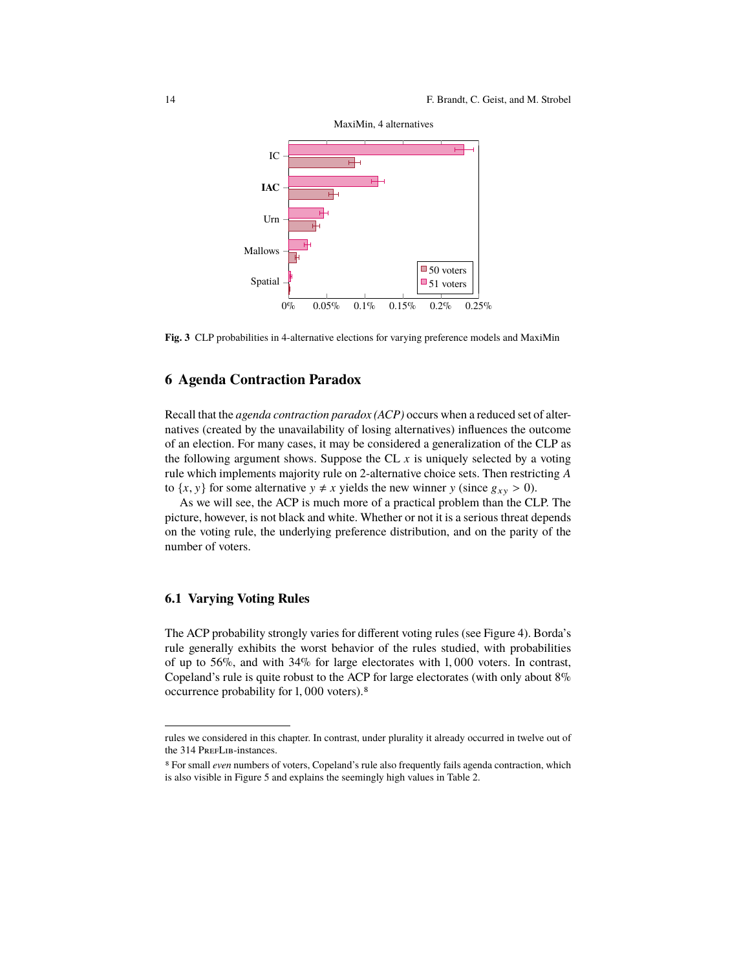

**Fig. 3** CLP probabilities in 4-alternative elections for varying preference models and MaxiMin

# **6 Agenda Contraction Paradox**

Recall that the *agenda contraction paradox (ACP)* occurs when a reduced set of alternatives (created by the unavailability of losing alternatives) influences the outcome of an election. For many cases, it may be considered a generalization of the CLP as the following argument shows. Suppose the CL  $x$  is uniquely selected by a voting rule which implements majority rule on 2-alternative choice sets. Then restricting  $A$ to  $\{x, y\}$  for some alternative  $y \neq x$  yields the new winner y (since  $g_{xy} > 0$ ).

As we will see, the ACP is much more of a practical problem than the CLP. The picture, however, is not black and white. Whether or not it is a serious threat depends on the voting rule, the underlying preference distribution, and on the parity of the number of voters.

# **6.1 Varying Voting Rules**

The ACP probability strongly varies for different voting rules (see Figure 4). Borda's rule generally exhibits the worst behavior of the rules studied, with probabilities of up to 56%, and with 34% for large electorates with 1, 000 voters. In contrast, Copeland's rule is quite robust to the ACP for large electorates (with only about 8% occurrence probability for 1, 000 voters).8

rules we considered in this chapter. In contrast, under plurality it already occurred in twelve out of the 314 PREFLIB-instances.

<sup>8</sup> For small *even* numbers of voters, Copeland's rule also frequently fails agenda contraction, which is also visible in Figure 5 and explains the seemingly high values in Table 2.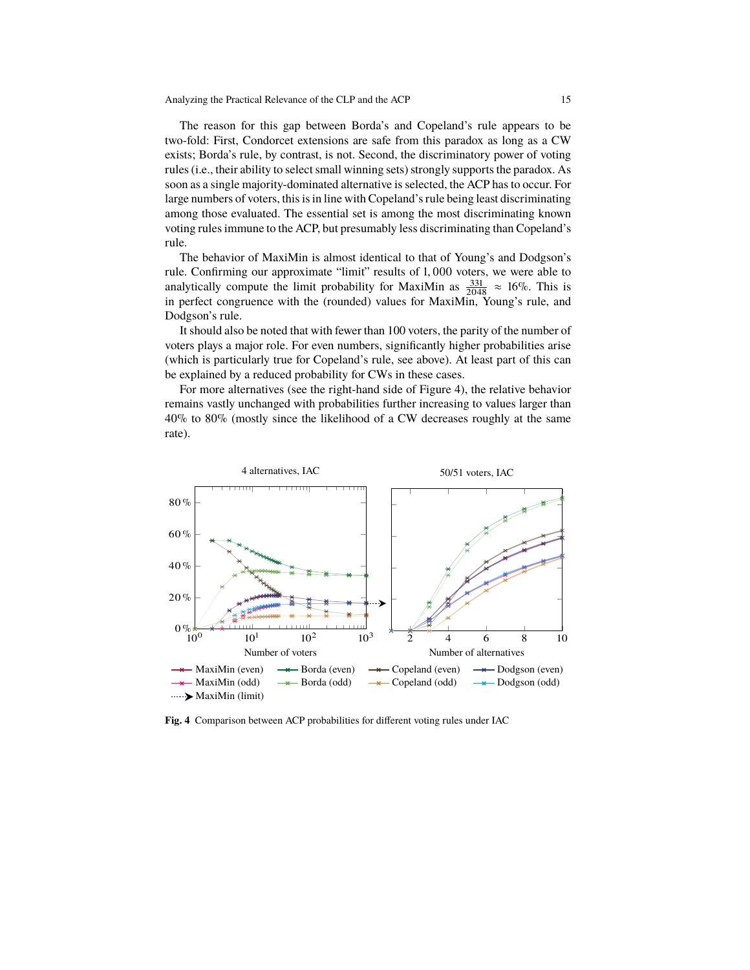The reason for this gap between Borda's and Copeland's rule appears to be two-fold: First, Condorcet extensions are safe from this paradox as long as a CW exists; Borda's rule, by contrast, is not. Second, the discriminatory power of voting rules (i.e., their ability to select small winning sets) strongly supports the paradox. As soon as a single majority-dominated alternative is selected, the ACP has to occur. For large numbers of voters, this is in line with Copeland's rule being least discriminating among those evaluated. The essential set is among the most discriminating known voting rules immune to the ACP, but presumably less discriminating than Copeland's rule.

The behavior of MaxiMin is almost identical to that of Young's and Dodgson's rule. Confirming our approximate "limit" results of 1, 000 voters, we were able to analytically compute the limit probability for MaxiMin as  $\frac{331}{2048} \approx 16\%$ . This is in perfect congruence with the (rounded) values for MaxiMin, Young's rule, and Dodgson's rule.

It should also be noted that with fewer than 100 voters, the parity of the number of voters plays a major role. For even numbers, significantly higher probabilities arise (which is particularly true for Copeland's rule, see above). At least part of this can be explained by a reduced probability for CWs in these cases.

For more alternatives (see the right-hand side of Figure 4), the relative behavior remains vastly unchanged with probabilities further increasing to values larger than 40% to 80% (mostly since the likelihood of a CW decreases roughly at the same rate).



**Fig. 4** Comparison between ACP probabilities for different voting rules under IAC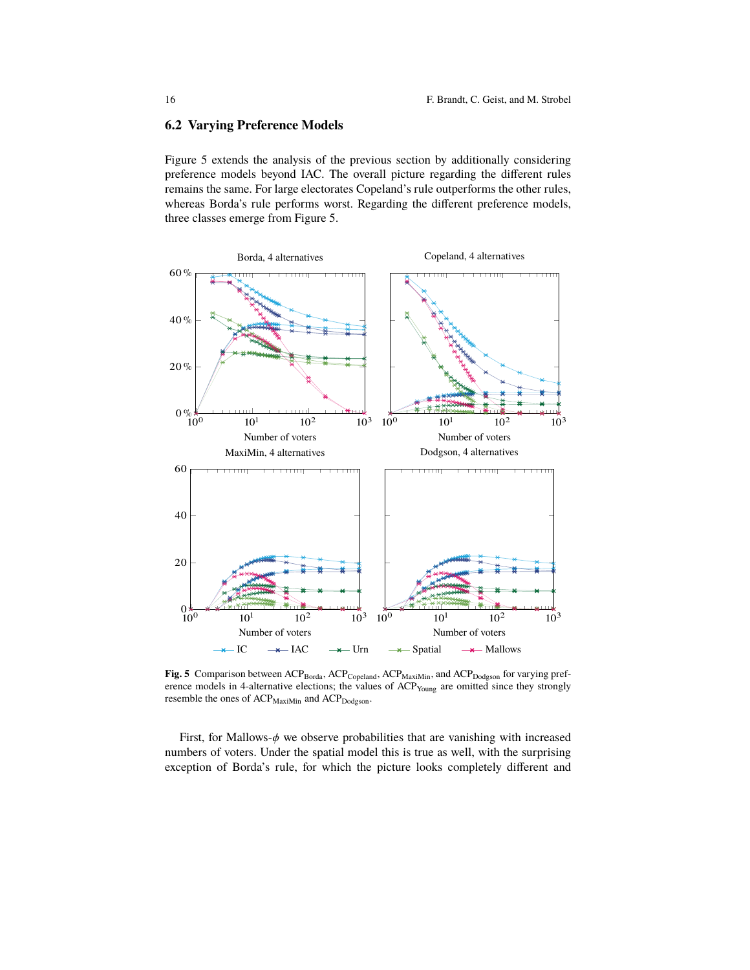### **6.2 Varying Preference Models**

Figure 5 extends the analysis of the previous section by additionally considering preference models beyond IAC. The overall picture regarding the different rules remains the same. For large electorates Copeland's rule outperforms the other rules, whereas Borda's rule performs worst. Regarding the different preference models, three classes emerge from Figure 5.



Fig. 5 Comparison between ACP<sub>Borda</sub>, ACP<sub>Copeland</sub>, ACP<sub>MaxiMin</sub>, and ACP<sub>Dodgson</sub> for varying preference models in 4-alternative elections; the values of ACP<sub>Young</sub> are omitted since they strongly resemble the ones of ACP<sub>MaxiMin</sub> and ACP<sub>Dodgson</sub>.

First, for Mallows- $\phi$  we observe probabilities that are vanishing with increased numbers of voters. Under the spatial model this is true as well, with the surprising exception of Borda's rule, for which the picture looks completely different and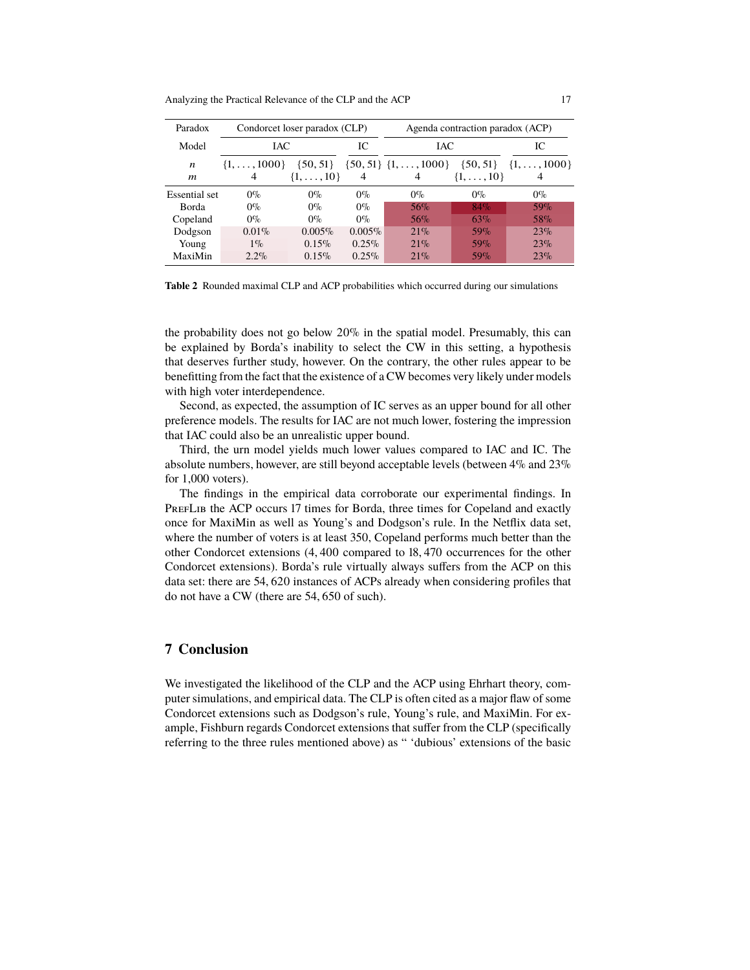| Paradox       |                            | Condorcet loser paradox (CLP)       |                | Agenda contraction paradox (ACP)        |                                     |                            |
|---------------|----------------------------|-------------------------------------|----------------|-----------------------------------------|-------------------------------------|----------------------------|
| Model         | IAC.                       |                                     | IC             |                                         | IAC                                 |                            |
| n<br>m        | $\{1, \ldots, 1000\}$<br>4 | $\{50, 51\}$<br>$\{1, \ldots, 10\}$ | $\overline{4}$ | $\{50, 51\}$ $\{1, \ldots, 1000\}$<br>4 | $\{50, 51\}$<br>$\{1, \ldots, 10\}$ | $\{1, \ldots, 1000\}$<br>4 |
| Essential set | $0\%$                      | $0\%$                               | $0\%$          | $0\%$                                   | $0\%$                               | $0\%$                      |
| <b>Borda</b>  | $0\%$                      | $0\%$                               | $0\%$          | 56%                                     | 84%                                 | 59%                        |
| Copeland      | $0\%$                      | $0\%$                               | $0\%$          | 56%                                     | 63%                                 | 58%                        |
| Dodgson       | 0.01%                      | $0.005\%$                           | $0.005\%$      | 21%                                     | 59%                                 | 23%                        |
| Young         | $1\%$                      | 0.15%                               | 0.25%          | 21%                                     | 59%                                 | 23%                        |
| MaxiMin       | $2.2\%$                    | 0.15%                               | 0.25%          | 21%                                     | 59%                                 | 23%                        |

**Table 2** Rounded maximal CLP and ACP probabilities which occurred during our simulations

the probability does not go below  $20\%$  in the spatial model. Presumably, this can be explained by Borda's inability to select the CW in this setting, a hypothesis that deserves further study, however. On the contrary, the other rules appear to be benefitting from the fact that the existence of a CW becomes very likely under models with high voter interdependence.

Second, as expected, the assumption of IC serves as an upper bound for all other preference models. The results for IAC are not much lower, fostering the impression that IAC could also be an unrealistic upper bound.

Third, the urn model yields much lower values compared to IAC and IC. The absolute numbers, however, are still beyond acceptable levels (between 4% and 23% for 1,000 voters).

The findings in the empirical data corroborate our experimental findings. In PREFLIB the ACP occurs 17 times for Borda, three times for Copeland and exactly once for MaxiMin as well as Young's and Dodgson's rule. In the Netflix data set, where the number of voters is at least 350, Copeland performs much better than the other Condorcet extensions (4, 400 compared to 18, 470 occurrences for the other Condorcet extensions). Borda's rule virtually always suffers from the ACP on this data set: there are 54, 620 instances of ACPs already when considering profiles that do not have a CW (there are 54, 650 of such).

# **7 Conclusion**

We investigated the likelihood of the CLP and the ACP using Ehrhart theory, computer simulations, and empirical data. The CLP is often cited as a major flaw of some Condorcet extensions such as Dodgson's rule, Young's rule, and MaxiMin. For example, Fishburn regards Condorcet extensions that suffer from the CLP (specifically referring to the three rules mentioned above) as " 'dubious' extensions of the basic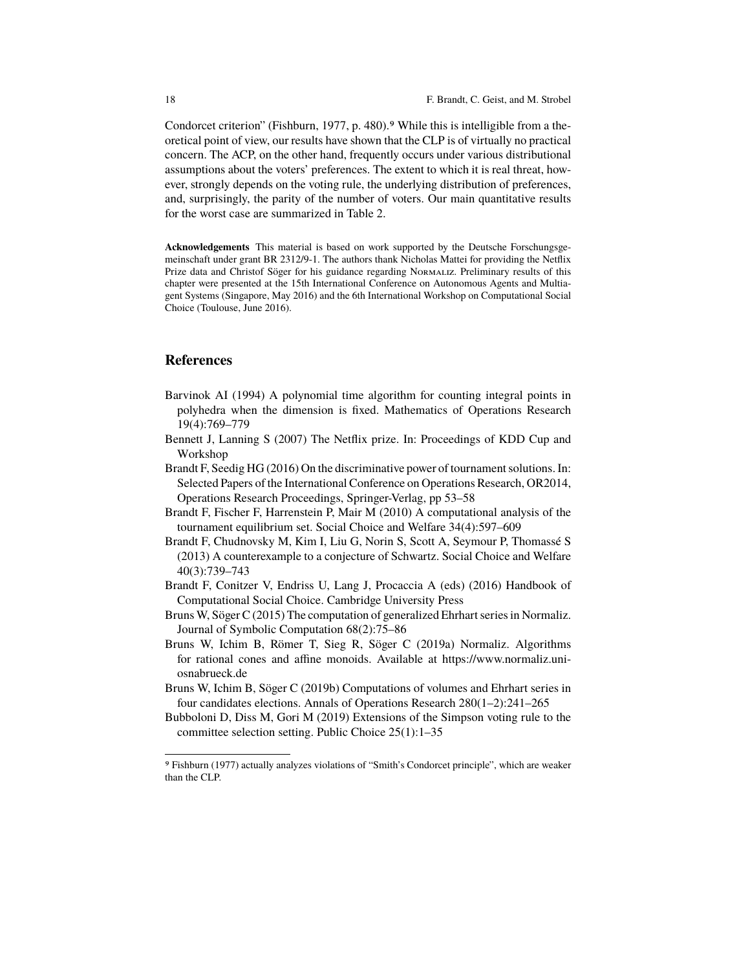Condorcet criterion" (Fishburn, 1977, p. 480).9 While this is intelligible from a theoretical point of view, our results have shown that the CLP is of virtually no practical concern. The ACP, on the other hand, frequently occurs under various distributional assumptions about the voters' preferences. The extent to which it is real threat, however, strongly depends on the voting rule, the underlying distribution of preferences, and, surprisingly, the parity of the number of voters. Our main quantitative results for the worst case are summarized in Table 2.

**Acknowledgements** This material is based on work supported by the Deutsche Forschungsgemeinschaft under grant BR 2312/9-1. The authors thank Nicholas Mattei for providing the Netflix Prize data and Christof Söger for his guidance regarding Normaliz. Preliminary results of this chapter were presented at the 15th International Conference on Autonomous Agents and Multiagent Systems (Singapore, May 2016) and the 6th International Workshop on Computational Social Choice (Toulouse, June 2016).

### **References**

- Barvinok AI (1994) A polynomial time algorithm for counting integral points in polyhedra when the dimension is fixed. Mathematics of Operations Research 19(4):769–779
- Bennett J, Lanning S (2007) The Netflix prize. In: Proceedings of KDD Cup and Workshop
- Brandt F, Seedig HG (2016) On the discriminative power of tournament solutions. In: Selected Papers of the International Conference on Operations Research, OR2014, Operations Research Proceedings, Springer-Verlag, pp 53–58
- Brandt F, Fischer F, Harrenstein P, Mair M (2010) A computational analysis of the tournament equilibrium set. Social Choice and Welfare 34(4):597–609
- Brandt F, Chudnovsky M, Kim I, Liu G, Norin S, Scott A, Seymour P, Thomassé S (2013) A counterexample to a conjecture of Schwartz. Social Choice and Welfare 40(3):739–743
- Brandt F, Conitzer V, Endriss U, Lang J, Procaccia A (eds) (2016) Handbook of Computational Social Choice. Cambridge University Press
- Bruns W, Söger C (2015) The computation of generalized Ehrhart series in Normaliz. Journal of Symbolic Computation 68(2):75–86
- Bruns W, Ichim B, Römer T, Sieg R, Söger C (2019a) Normaliz. Algorithms for rational cones and affine monoids. Available at https://www.normaliz.uniosnabrueck.de
- Bruns W, Ichim B, Söger C (2019b) Computations of volumes and Ehrhart series in four candidates elections. Annals of Operations Research 280(1–2):241–265
- Bubboloni D, Diss M, Gori M (2019) Extensions of the Simpson voting rule to the committee selection setting. Public Choice 25(1):1–35

<sup>9</sup> Fishburn (1977) actually analyzes violations of "Smith's Condorcet principle", which are weaker than the CLP.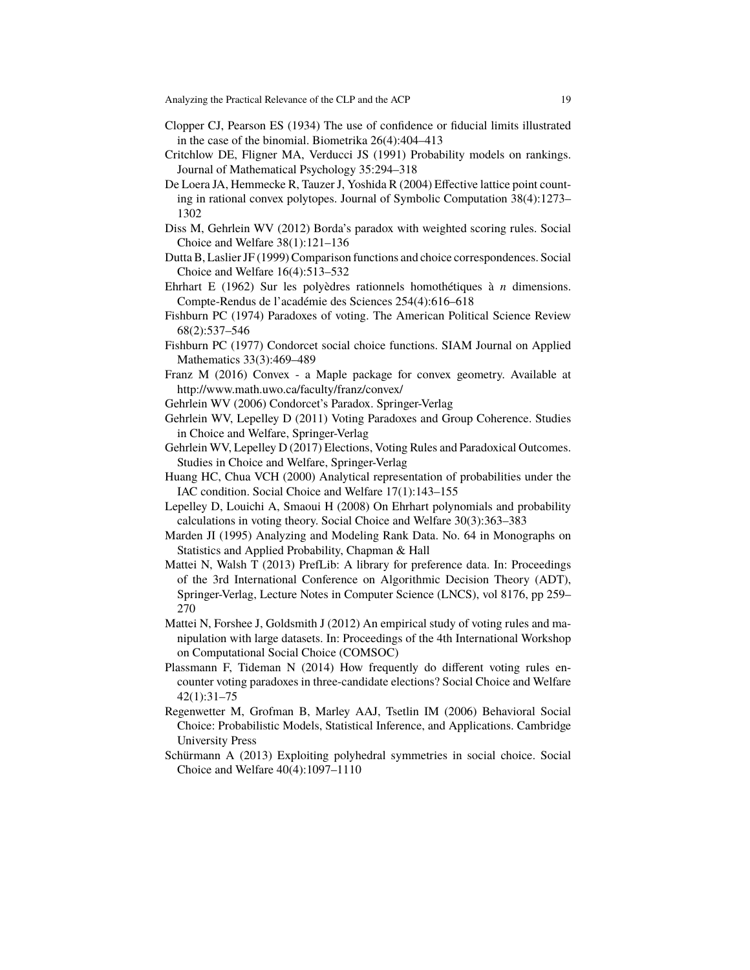- Clopper CJ, Pearson ES (1934) The use of confidence or fiducial limits illustrated in the case of the binomial. Biometrika 26(4):404–413
- Critchlow DE, Fligner MA, Verducci JS (1991) Probability models on rankings. Journal of Mathematical Psychology 35:294–318
- De Loera JA, Hemmecke R, Tauzer J, Yoshida R (2004) Effective lattice point counting in rational convex polytopes. Journal of Symbolic Computation 38(4):1273– 1302
- Diss M, Gehrlein WV (2012) Borda's paradox with weighted scoring rules. Social Choice and Welfare 38(1):121–136
- Dutta B, Laslier JF (1999) Comparison functions and choice correspondences. Social Choice and Welfare 16(4):513–532
- Ehrhart E (1962) Sur les polyèdres rationnels homothétiques à  $n$  dimensions. Compte-Rendus de l'académie des Sciences 254(4):616–618
- Fishburn PC (1974) Paradoxes of voting. The American Political Science Review 68(2):537–546
- Fishburn PC (1977) Condorcet social choice functions. SIAM Journal on Applied Mathematics 33(3):469–489
- Franz M (2016) Convex a Maple package for convex geometry. Available at http://www.math.uwo.ca/faculty/franz/convex/
- Gehrlein WV (2006) Condorcet's Paradox. Springer-Verlag
- Gehrlein WV, Lepelley D (2011) Voting Paradoxes and Group Coherence. Studies in Choice and Welfare, Springer-Verlag
- Gehrlein WV, Lepelley D (2017) Elections, Voting Rules and Paradoxical Outcomes. Studies in Choice and Welfare, Springer-Verlag
- Huang HC, Chua VCH (2000) Analytical representation of probabilities under the IAC condition. Social Choice and Welfare 17(1):143–155
- Lepelley D, Louichi A, Smaoui H (2008) On Ehrhart polynomials and probability calculations in voting theory. Social Choice and Welfare 30(3):363–383
- Marden JI (1995) Analyzing and Modeling Rank Data. No. 64 in Monographs on Statistics and Applied Probability, Chapman & Hall
- Mattei N, Walsh T (2013) PrefLib: A library for preference data. In: Proceedings of the 3rd International Conference on Algorithmic Decision Theory (ADT), Springer-Verlag, Lecture Notes in Computer Science (LNCS), vol 8176, pp 259– 270
- Mattei N, Forshee J, Goldsmith J (2012) An empirical study of voting rules and manipulation with large datasets. In: Proceedings of the 4th International Workshop on Computational Social Choice (COMSOC)
- Plassmann F, Tideman N (2014) How frequently do different voting rules encounter voting paradoxes in three-candidate elections? Social Choice and Welfare 42(1):31–75
- Regenwetter M, Grofman B, Marley AAJ, Tsetlin IM (2006) Behavioral Social Choice: Probabilistic Models, Statistical Inference, and Applications. Cambridge University Press
- Schürmann A (2013) Exploiting polyhedral symmetries in social choice. Social Choice and Welfare 40(4):1097–1110